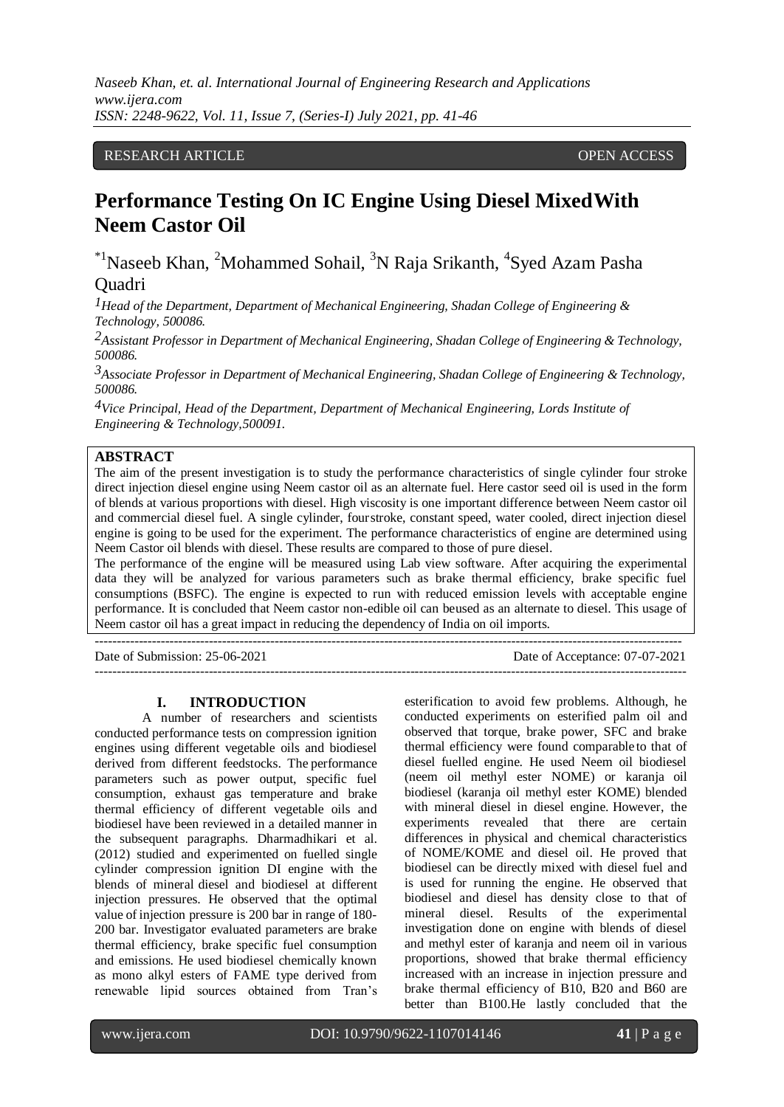*Naseeb Khan, et. al. International Journal of Engineering Research and Applications www.ijera.com ISSN: 2248-9622, Vol. 11, Issue 7, (Series-I) July 2021, pp. 41-46*

## RESEARCH ARTICLE **OPEN ACCESS**

# **Performance Testing On IC Engine Using Diesel MixedWith Neem Castor Oil**

 $*$ <sup>1</sup>Naseeb Khan, <sup>2</sup>Mohammed Sohail, <sup>3</sup>N Raja Srikanth, <sup>4</sup>Syed Azam Pasha **Ouadri** 

*1Head of the Department, Department of Mechanical Engineering, Shadan College of Engineering & Technology, 500086.*

*2Assistant Professor in Department of Mechanical Engineering, Shadan College of Engineering & Technology, 500086.*

*3Associate Professor in Department of Mechanical Engineering, Shadan College of Engineering & Technology, 500086.*

*4Vice Principal, Head of the Department, Department of Mechanical Engineering, Lords Institute of Engineering & Technology,500091.*

## **ABSTRACT**

The aim of the present investigation is to study the performance characteristics of single cylinder four stroke direct injection diesel engine using Neem castor oil as an alternate fuel. Here castor seed oil is used in the form of blends at various proportions with diesel. High viscosity is one important difference between Neem castor oil and commercial diesel fuel. A single cylinder, fourstroke, constant speed, water cooled, direct injection diesel engine is going to be used for the experiment. The performance characteristics of engine are determined using Neem Castor oil blends with diesel. These results are compared to those of pure diesel.

The performance of the engine will be measured using Lab view software. After acquiring the experimental data they will be analyzed for various parameters such as brake thermal efficiency, brake specific fuel consumptions (BSFC). The engine is expected to run with reduced emission levels with acceptable engine performance. It is concluded that Neem castor non-edible oil can beused as an alternate to diesel. This usage of Neem castor oil has a great impact in reducing the dependency of India on oil imports.

--------------------------------------------------------------------------------------------------------------------------------------

Date of Submission: 25-06-2021 Date of Acceptance: 07-07-2021 ---------------------------------------------------------------------------------------------------------------------------------------

#### **I. INTRODUCTION**

A number of researchers and scientists conducted performance tests on compression ignition engines using different vegetable oils and biodiesel derived from different feedstocks. The performance parameters such as power output, specific fuel consumption, exhaust gas temperature and brake thermal efficiency of different vegetable oils and biodiesel have been reviewed in a detailed manner in the subsequent paragraphs. Dharmadhikari et al. (2012) studied and experimented on fuelled single cylinder compression ignition DI engine with the blends of mineral diesel and biodiesel at different injection pressures. He observed that the optimal value of injection pressure is 200 bar in range of 180- 200 bar. Investigator evaluated parameters are brake thermal efficiency, brake specific fuel consumption and emissions. He used biodiesel chemically known as mono alkyl esters of FAME type derived from renewable lipid sources obtained from Tran's

esterification to avoid few problems. Although, he conducted experiments on esterified palm oil and observed that torque, brake power, SFC and brake thermal efficiency were found comparable to that of diesel fuelled engine. He used Neem oil biodiesel (neem oil methyl ester NOME) or karanja oil biodiesel (karanja oil methyl ester KOME) blended with mineral diesel in diesel engine. However, the experiments revealed that there are certain differences in physical and chemical characteristics of NOME/KOME and diesel oil. He proved that biodiesel can be directly mixed with diesel fuel and is used for running the engine. He observed that biodiesel and diesel has density close to that of mineral diesel. Results of the experimental investigation done on engine with blends of diesel and methyl ester of karanja and neem oil in various proportions, showed that brake thermal efficiency increased with an increase in injection pressure and brake thermal efficiency of B10, B20 and B60 are better than B100.He lastly concluded that the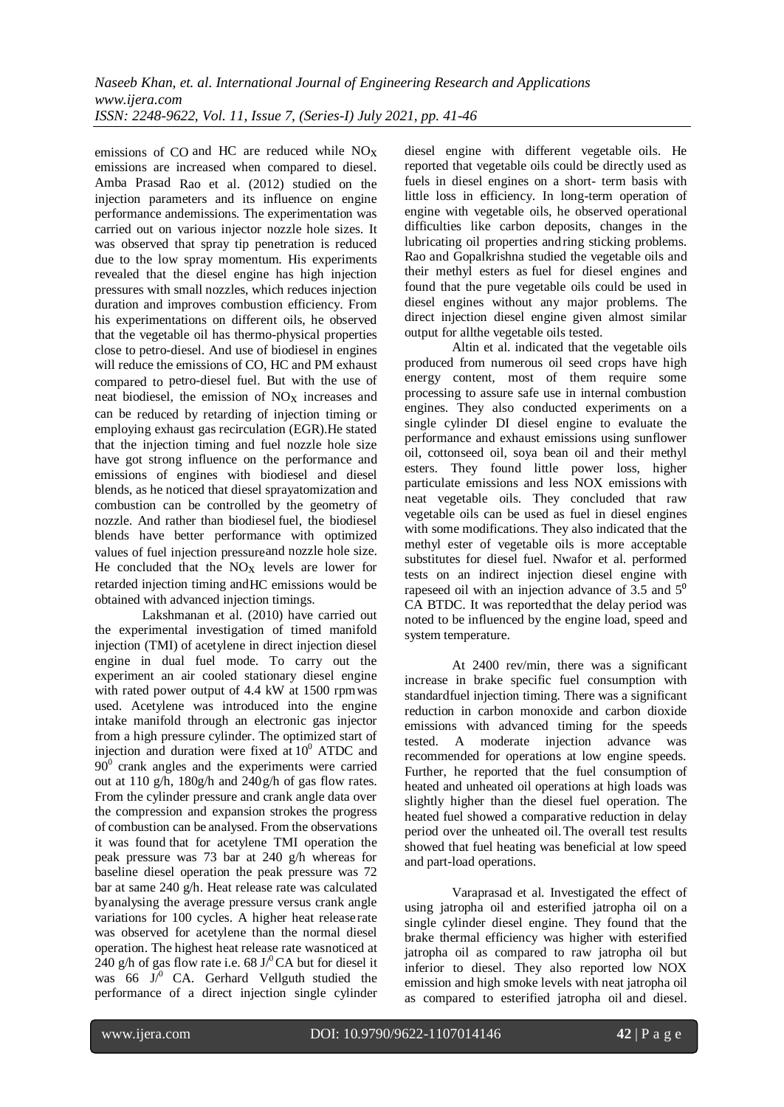emissions of CO and HC are reduced while NOx emissions are increased when compared to diesel. Amba Prasad Rao et al. (2012) studied on the injection parameters and its influence on engine performance andemissions. The experimentation was carried out on various injector nozzle hole sizes. It was observed that spray tip penetration is reduced due to the low spray momentum. His experiments revealed that the diesel engine has high injection pressures with small nozzles, which reduces injection duration and improves combustion efficiency. From his experimentations on different oils, he observed that the vegetable oil has thermo-physical properties close to petro-diesel. And use of biodiesel in engines will reduce the emissions of CO, HC and PM exhaust compared to petro-diesel fuel. But with the use of neat biodiesel, the emission of NOx increases and can be reduced by retarding of injection timing or employing exhaust gas recirculation (EGR).He stated that the injection timing and fuel nozzle hole size have got strong influence on the performance and emissions of engines with biodiesel and diesel blends, as he noticed that diesel sprayatomization and combustion can be controlled by the geometry of nozzle. And rather than biodiesel fuel, the biodiesel blends have better performance with optimized values of fuel injection pressureand nozzle hole size. He concluded that the  $NO<sub>X</sub>$  levels are lower for retarded injection timing andHC emissions would be obtained with advanced injection timings.

Lakshmanan et al. (2010) have carried out the experimental investigation of timed manifold injection (TMI) of acetylene in direct injection diesel engine in dual fuel mode. To carry out the experiment an air cooled stationary diesel engine with rated power output of 4.4 kW at 1500 rpmwas used. Acetylene was introduced into the engine intake manifold through an electronic gas injector from a high pressure cylinder. The optimized start of injection and duration were fixed at  $10<sup>0</sup>$  ATDC and  $90^{\circ}$  crank angles and the experiments were carried out at 110 g/h, 180g/h and 240g/h of gas flow rates. From the cylinder pressure and crank angle data over the compression and expansion strokes the progress of combustion can be analysed. From the observations it was found that for acetylene TMI operation the peak pressure was 73 bar at 240 g/h whereas for baseline diesel operation the peak pressure was 72 bar at same 240 g/h. Heat release rate was calculated byanalysing the average pressure versus crank angle variations for 100 cycles. A higher heat release rate was observed for acetylene than the normal diesel operation. The highest heat release rate wasnoticed at 240 g/h of gas flow rate i.e. 68 J/ $^0$ CA but for diesel it was 66  $J^0$  CA. Gerhard Vellguth studied the performance of a direct injection single cylinder

diesel engine with different vegetable oils. He reported that vegetable oils could be directly used as fuels in diesel engines on a short- term basis with little loss in efficiency. In long-term operation of engine with vegetable oils, he observed operational difficulties like carbon deposits, changes in the lubricating oil properties andring sticking problems. Rao and Gopalkrishna studied the vegetable oils and their methyl esters as fuel for diesel engines and found that the pure vegetable oils could be used in diesel engines without any major problems. The direct injection diesel engine given almost similar output for allthe vegetable oils tested.

Altin et al. indicated that the vegetable oils produced from numerous oil seed crops have high energy content, most of them require some processing to assure safe use in internal combustion engines. They also conducted experiments on a single cylinder DI diesel engine to evaluate the performance and exhaust emissions using sunflower oil, cottonseed oil, soya bean oil and their methyl esters. They found little power loss, higher particulate emissions and less NOX emissions with neat vegetable oils. They concluded that raw vegetable oils can be used as fuel in diesel engines with some modifications. They also indicated that the methyl ester of vegetable oils is more acceptable substitutes for diesel fuel. Nwafor et al. performed tests on an indirect injection diesel engine with rapeseed oil with an injection advance of  $3.5$  and  $5<sup>0</sup>$ CA BTDC. It was reportedthat the delay period was noted to be influenced by the engine load, speed and system temperature.

At 2400 rev/min, there was a significant increase in brake specific fuel consumption with standardfuel injection timing. There was a significant reduction in carbon monoxide and carbon dioxide emissions with advanced timing for the speeds tested. A moderate injection advance was recommended for operations at low engine speeds. Further, he reported that the fuel consumption of heated and unheated oil operations at high loads was slightly higher than the diesel fuel operation. The heated fuel showed a comparative reduction in delay period over the unheated oil.The overall test results showed that fuel heating was beneficial at low speed and part-load operations.

Varaprasad et al. Investigated the effect of using jatropha oil and esterified jatropha oil on a single cylinder diesel engine. They found that the brake thermal efficiency was higher with esterified jatropha oil as compared to raw jatropha oil but inferior to diesel. They also reported low NOX emission and high smoke levels with neat jatropha oil as compared to esterified jatropha oil and diesel.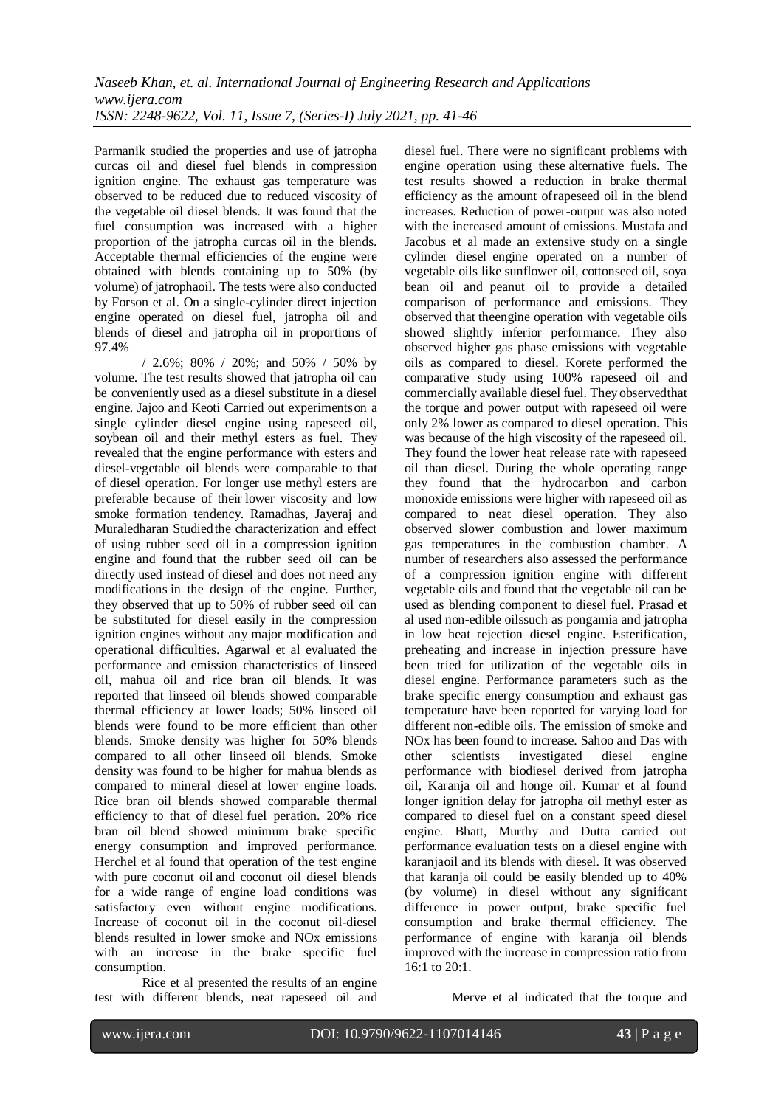Parmanik studied the properties and use of jatropha curcas oil and diesel fuel blends in compression ignition engine. The exhaust gas temperature was observed to be reduced due to reduced viscosity of the vegetable oil diesel blends. It was found that the fuel consumption was increased with a higher proportion of the jatropha curcas oil in the blends. Acceptable thermal efficiencies of the engine were obtained with blends containing up to 50% (by volume) of jatrophaoil. The tests were also conducted by Forson et al. On a single-cylinder direct injection engine operated on diesel fuel, jatropha oil and blends of diesel and jatropha oil in proportions of 97.4%

/ 2.6%; 80% / 20%; and 50% / 50% by volume. The test results showed that jatropha oil can be conveniently used as a diesel substitute in a diesel engine. Jajoo and Keoti Carried out experimentson a single cylinder diesel engine using rapeseed oil, soybean oil and their methyl esters as fuel. They revealed that the engine performance with esters and diesel-vegetable oil blends were comparable to that of diesel operation. For longer use methyl esters are preferable because of their lower viscosity and low smoke formation tendency. Ramadhas, Jayeraj and Muraledharan Studiedthe characterization and effect of using rubber seed oil in a compression ignition engine and found that the rubber seed oil can be directly used instead of diesel and does not need any modifications in the design of the engine. Further, they observed that up to 50% of rubber seed oil can be substituted for diesel easily in the compression ignition engines without any major modification and operational difficulties. Agarwal et al evaluated the performance and emission characteristics of linseed oil, mahua oil and rice bran oil blends. It was reported that linseed oil blends showed comparable thermal efficiency at lower loads; 50% linseed oil blends were found to be more efficient than other blends. Smoke density was higher for 50% blends compared to all other linseed oil blends. Smoke density was found to be higher for mahua blends as compared to mineral diesel at lower engine loads. Rice bran oil blends showed comparable thermal efficiency to that of diesel fuel peration. 20% rice bran oil blend showed minimum brake specific energy consumption and improved performance. Herchel et al found that operation of the test engine with pure coconut oil and coconut oil diesel blends for a wide range of engine load conditions was satisfactory even without engine modifications. Increase of coconut oil in the coconut oil-diesel blends resulted in lower smoke and NOx emissions with an increase in the brake specific fuel consumption.

Rice et al presented the results of an engine test with different blends, neat rapeseed oil and

diesel fuel. There were no significant problems with engine operation using these alternative fuels. The test results showed a reduction in brake thermal efficiency as the amount ofrapeseed oil in the blend increases. Reduction of power-output was also noted with the increased amount of emissions. Mustafa and Jacobus et al made an extensive study on a single cylinder diesel engine operated on a number of vegetable oils like sunflower oil, cottonseed oil, soya bean oil and peanut oil to provide a detailed comparison of performance and emissions. They observed that theengine operation with vegetable oils showed slightly inferior performance. They also observed higher gas phase emissions with vegetable oils as compared to diesel. Korete performed the comparative study using 100% rapeseed oil and commercially available diesel fuel. They observedthat the torque and power output with rapeseed oil were only 2% lower as compared to diesel operation. This was because of the high viscosity of the rapeseed oil. They found the lower heat release rate with rapeseed oil than diesel. During the whole operating range they found that the hydrocarbon and carbon monoxide emissions were higher with rapeseed oil as compared to neat diesel operation. They also observed slower combustion and lower maximum gas temperatures in the combustion chamber. A number of researchers also assessed the performance of a compression ignition engine with different vegetable oils and found that the vegetable oil can be used as blending component to diesel fuel. Prasad et al used non-edible oilssuch as pongamia and jatropha in low heat rejection diesel engine. Esterification, preheating and increase in injection pressure have been tried for utilization of the vegetable oils in diesel engine. Performance parameters such as the brake specific energy consumption and exhaust gas temperature have been reported for varying load for different non-edible oils. The emission of smoke and NOx has been found to increase. Sahoo and Das with other scientists investigated diesel engine performance with biodiesel derived from jatropha oil, Karanja oil and honge oil. Kumar et al found longer ignition delay for jatropha oil methyl ester as compared to diesel fuel on a constant speed diesel engine. Bhatt, Murthy and Dutta carried out performance evaluation tests on a diesel engine with karanjaoil and its blends with diesel. It was observed that karanja oil could be easily blended up to 40% (by volume) in diesel without any significant difference in power output, brake specific fuel consumption and brake thermal efficiency. The performance of engine with karanja oil blends improved with the increase in compression ratio from 16:1 to 20:1.

Merve et al indicated that the torque and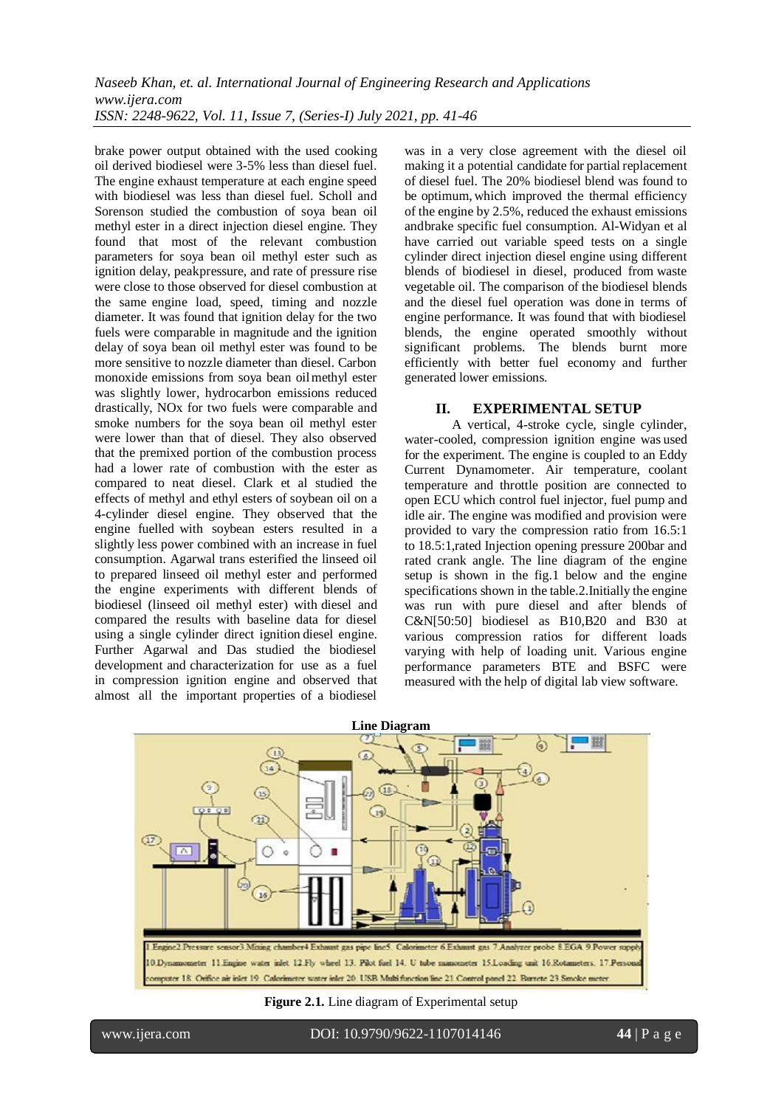brake power output obtained with the used cooking oil derived biodiesel were 3-5% less than diesel fuel. The engine exhaust temperature at each engine speed with biodiesel was less than diesel fuel. Scholl and Sorenson studied the combustion of soya bean oil methyl ester in a direct injection diesel engine. They found that most of the relevant combustion parameters for soya bean oil methyl ester such as ignition delay, peakpressure, and rate of pressure rise were close to those observed for diesel combustion at the same engine load, speed, timing and nozzle diameter. It was found that ignition delay for the two fuels were comparable in magnitude and the ignition delay of soya bean oil methyl ester was found to be more sensitive to nozzle diameter than diesel. Carbon monoxide emissions from soya bean oilmethyl ester was slightly lower, hydrocarbon emissions reduced drastically, NOx for two fuels were comparable and smoke numbers for the soya bean oil methyl ester were lower than that of diesel. They also observed that the premixed portion of the combustion process had a lower rate of combustion with the ester as compared to neat diesel. Clark et al studied the effects of methyl and ethyl esters of soybean oil on a 4-cylinder diesel engine. They observed that the engine fuelled with soybean esters resulted in a slightly less power combined with an increase in fuel consumption. Agarwal trans esterified the linseed oil to prepared linseed oil methyl ester and performed the engine experiments with different blends of biodiesel (linseed oil methyl ester) with diesel and compared the results with baseline data for diesel using a single cylinder direct ignition diesel engine. Further Agarwal and Das studied the biodiesel development and characterization for use as a fuel in compression ignition engine and observed that almost all the important properties of a biodiesel

was in a very close agreement with the diesel oil making it a potential candidate for partial replacement of diesel fuel. The 20% biodiesel blend was found to be optimum, which improved the thermal efficiency of the engine by 2.5%, reduced the exhaust emissions andbrake specific fuel consumption. Al-Widyan et al have carried out variable speed tests on a single cylinder direct injection diesel engine using different blends of biodiesel in diesel, produced from waste vegetable oil. The comparison of the biodiesel blends and the diesel fuel operation was done in terms of engine performance. It was found that with biodiesel blends, the engine operated smoothly without significant problems. The blends burnt more efficiently with better fuel economy and further generated lower emissions.

#### **II. EXPERIMENTAL SETUP**

A vertical, 4-stroke cycle, single cylinder, water-cooled, compression ignition engine was used for the experiment. The engine is coupled to an Eddy Current Dynamometer. Air temperature, coolant temperature and throttle position are connected to open ECU which control fuel injector, fuel pump and idle air. The engine was modified and provision were provided to vary the compression ratio from 16.5:1 to 18.5:1,rated Injection opening pressure 200bar and rated crank angle. The line diagram of the engine setup is shown in the fig.1 below and the engine specifications shown in the table.2.Initially the engine was run with pure diesel and after blends of C&N[50:50] biodiesel as B10,B20 and B30 at various compression ratios for different loads varying with help of loading unit. Various engine performance parameters BTE and BSFC were measured with the help of digital lab view software.



**Figure 2.1.** Line diagram of Experimental setup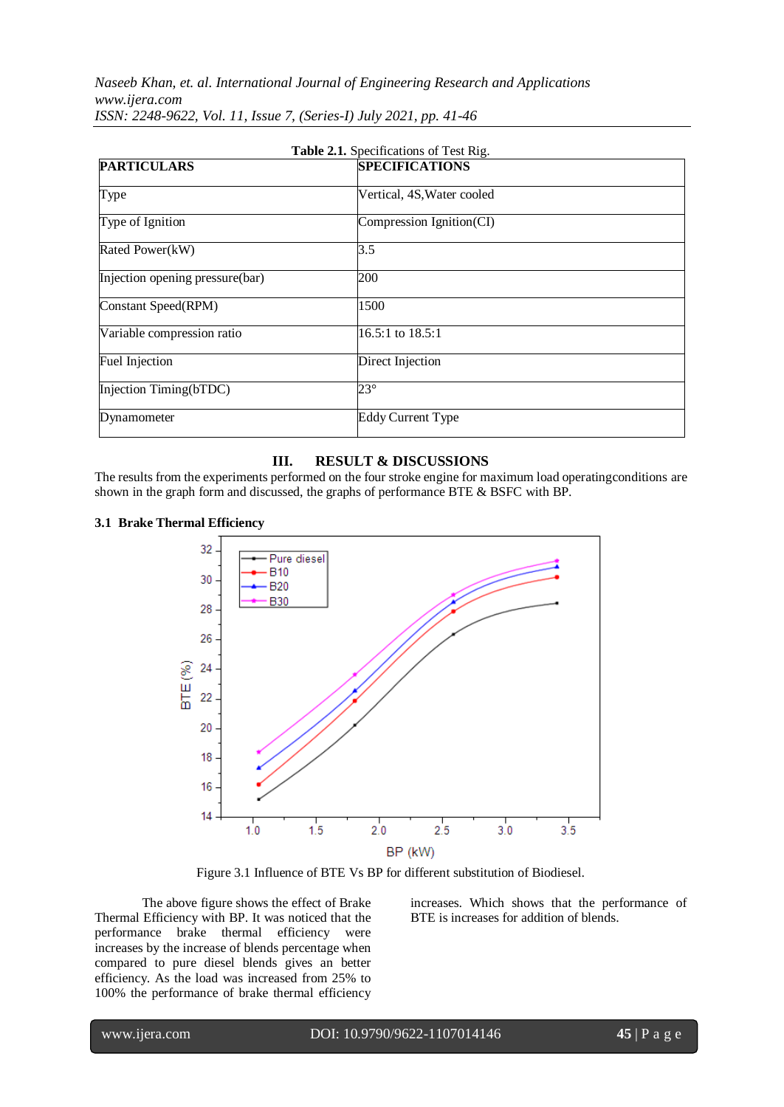*Naseeb Khan, et. al. International Journal of Engineering Research and Applications www.ijera.com ISSN: 2248-9622, Vol. 11, Issue 7, (Series-I) July 2021, pp. 41-46*

| Table 2.1. Specifications of Test Rig. |                            |
|----------------------------------------|----------------------------|
| <b>PARTICULARS</b>                     | <b>SPECIFICATIONS</b>      |
| Type                                   | Vertical, 4S, Water cooled |
| Type of Ignition                       | Compression Ignition(CI)   |
| Rated Power(kW)                        | 3.5                        |
| Injection opening pressure(bar)        | 200                        |
| Constant Speed(RPM)                    | 1500                       |
| Variable compression ratio             | 16.5:1 to 18.5:1           |
| Fuel Injection                         | Direct Injection           |
| Injection Timing(bTDC)                 | $23^{\circ}$               |
| Dynamometer                            | <b>Eddy Current Type</b>   |

#### **III. RESULT & DISCUSSIONS**

The results from the experiments performed on the four stroke engine for maximum load operatingconditions are shown in the graph form and discussed, the graphs of performance BTE & BSFC with BP.

#### **3.1 Brake Thermal Efficiency**



Figure 3.1 Influence of BTE Vs BP for different substitution of Biodiesel.

The above figure shows the effect of Brake Thermal Efficiency with BP. It was noticed that the performance brake thermal efficiency were increases by the increase of blends percentage when compared to pure diesel blends gives an better efficiency. As the load was increased from 25% to 100% the performance of brake thermal efficiency increases. Which shows that the performance of BTE is increases for addition of blends.